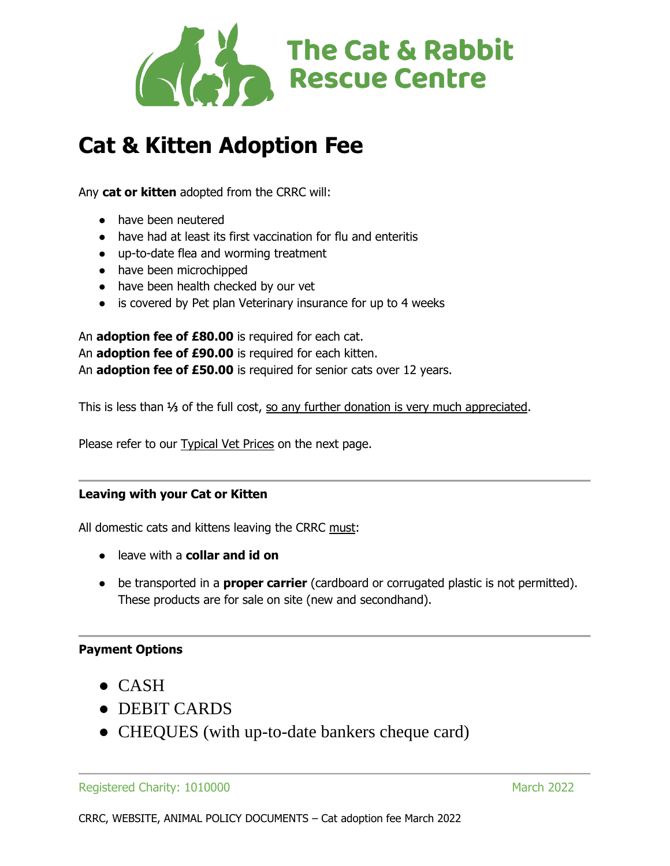

# **Cat & Kitten Adoption Fee**

Any **cat or kitten** adopted from the CRRC will:

- have been neutered
- have had at least its first vaccination for flu and enteritis
- up-to-date flea and worming treatment
- have been microchipped
- have been health checked by our vet
- is covered by Pet plan Veterinary insurance for up to 4 weeks

An **adoption fee of £80.00** is required for each cat. An **adoption fee of £90.00** is required for each kitten. An **adoption fee of £50.00** is required for senior cats over 12 years.

This is less than ⅓ of the full cost, so any further donation is very much appreciated.

Please refer to our **Typical Vet Prices** on the next page.

### **Leaving with your Cat or Kitten**

All domestic cats and kittens leaving the CRRC must:

- leave with a **collar and id on**
- be transported in a **proper carrier** (cardboard or corrugated plastic is not permitted). These products are for sale on site (new and secondhand).

### **Payment Options**

- $\bullet$  CASH
- DEBIT CARDS
- CHEQUES (with up-to-date bankers cheque card)

#### Registered Charity: 1010000 March 2022